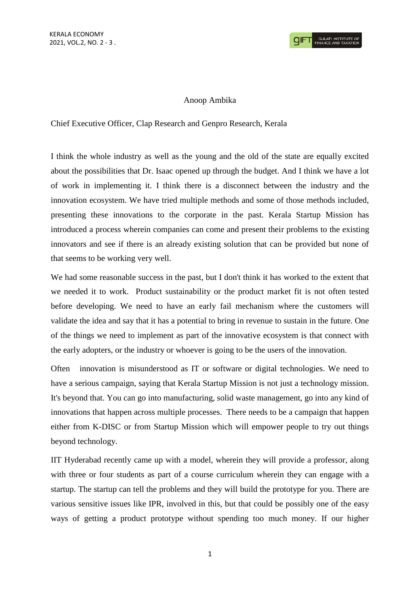## Anoop Ambika

Chief Executive Officer, Clap Research and Genpro Research, Kerala

I think the whole industry as well as the young and the old of the state are equally excited about the possibilities that Dr. Isaac opened up through the budget. And I think we have a lot of work in implementing it. I think there is a disconnect between the industry and the innovation ecosystem. We have tried multiple methods and some of those methods included, presenting these innovations to the corporate in the past. Kerala Startup Mission has introduced a process wherein companies can come and present their problems to the existing innovators and see if there is an already existing solution that can be provided but none of that seems to be working very well.

We had some reasonable success in the past, but I don't think it has worked to the extent that we needed it to work. Product sustainability or the product market fit is not often tested before developing. We need to have an early fail mechanism where the customers will validate the idea and say that it has a potential to bring in revenue to sustain in the future. One of the things we need to implement as part of the innovative ecosystem is that connect with the early adopters, or the industry or whoever is going to be the users of the innovation.

Often innovation is misunderstood as IT or software or digital technologies. We need to have a serious campaign, saying that Kerala Startup Mission is not just a technology mission. It's beyond that. You can go into manufacturing, solid waste management, go into any kind of innovations that happen across multiple processes. There needs to be a campaign that happen either from K-DISC or from Startup Mission which will empower people to try out things beyond technology.

IIT Hyderabad recently came up with a model, wherein they will provide a professor, along with three or four students as part of a course curriculum wherein they can engage with a startup. The startup can tell the problems and they will build the prototype for you. There are various sensitive issues like IPR, involved in this, but that could be possibly one of the easy ways of getting a product prototype without spending too much money. If our higher